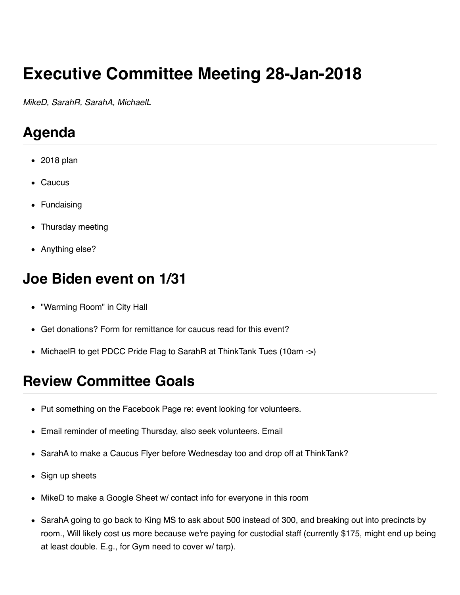# **Executive Committee Meeting 28-Jan-2018**

*MikeD, SarahR, SarahA, MichaelL*

## **Agenda**

- 2018 plan
- Caucus
- Fundaising
- Thursday meeting
- Anything else?

#### **Joe Biden event on 1/31**

- "Warming Room" in City Hall
- Get donations? Form for remittance for caucus read for this event?
- MichaelR to get PDCC Pride Flag to SarahR at ThinkTank Tues (10am ->)

## **Review Committee Goals**

- Put something on the Facebook Page re: event looking for volunteers.
- Email reminder of meeting Thursday, also seek volunteers. Email
- SarahA to make a Caucus Flyer before Wednesday too and drop off at ThinkTank?
- Sign up sheets
- MikeD to make a Google Sheet w/ contact info for everyone in this room
- SarahA going to go back to King MS to ask about 500 instead of 300, and breaking out into precincts by room., Will likely cost us more because we're paying for custodial staff (currently \$175, might end up being at least double. E.g., for Gym need to cover w/ tarp).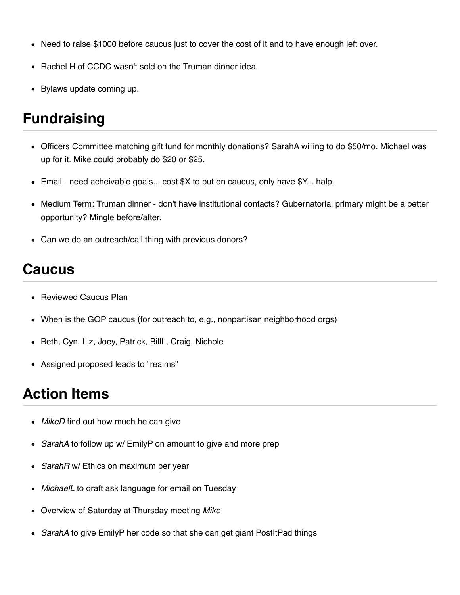- Need to raise \$1000 before caucus just to cover the cost of it and to have enough left over.
- Rachel H of CCDC wasn't sold on the Truman dinner idea.
- Bylaws update coming up.

## **Fundraising**

- Officers Committee matching gift fund for monthly donations? SarahA willing to do \$50/mo. Michael was up for it. Mike could probably do \$20 or \$25.
- Email need acheivable goals... cost \$X to put on caucus, only have \$Y... halp.
- Medium Term: Truman dinner don't have institutional contacts? Gubernatorial primary might be a better opportunity? Mingle before/after.
- Can we do an outreach/call thing with previous donors?

#### **Caucus**

- Reviewed Caucus Plan
- When is the GOP caucus (for outreach to, e.g., nonpartisan neighborhood orgs)
- Beth, Cyn, Liz, Joey, Patrick, BillL, Craig, Nichole
- Assigned proposed leads to "realms"

## **Action Items**

- *MikeD* find out how much he can give
- *SarahA* to follow up w/ EmilyP on amount to give and more prep
- *SarahR* w/ Ethics on maximum per year
- *MichaelL* to draft ask language for email on Tuesday
- Overview of Saturday at Thursday meeting *Mike*
- *SarahA* to give EmilyP her code so that she can get giant PostItPad things  $\bullet$